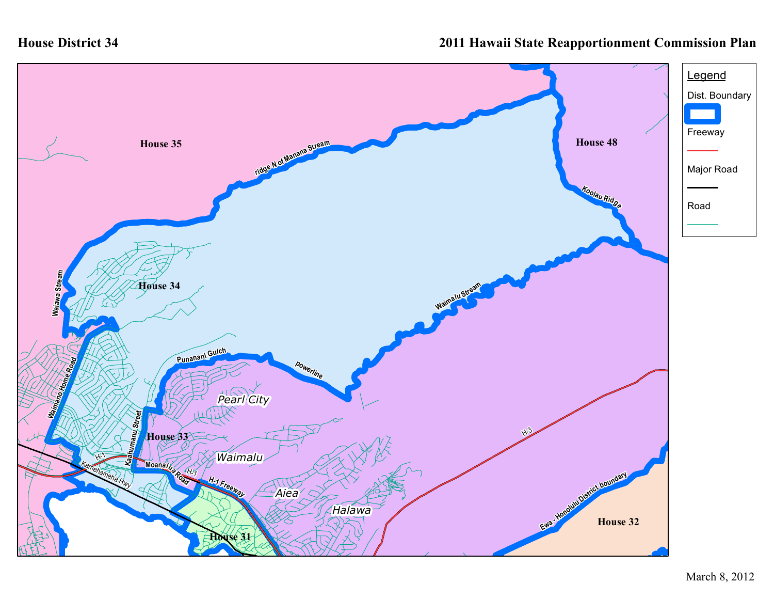## **House District 34**

## **2011 Hawaii State Reapportionment Commission Plan**